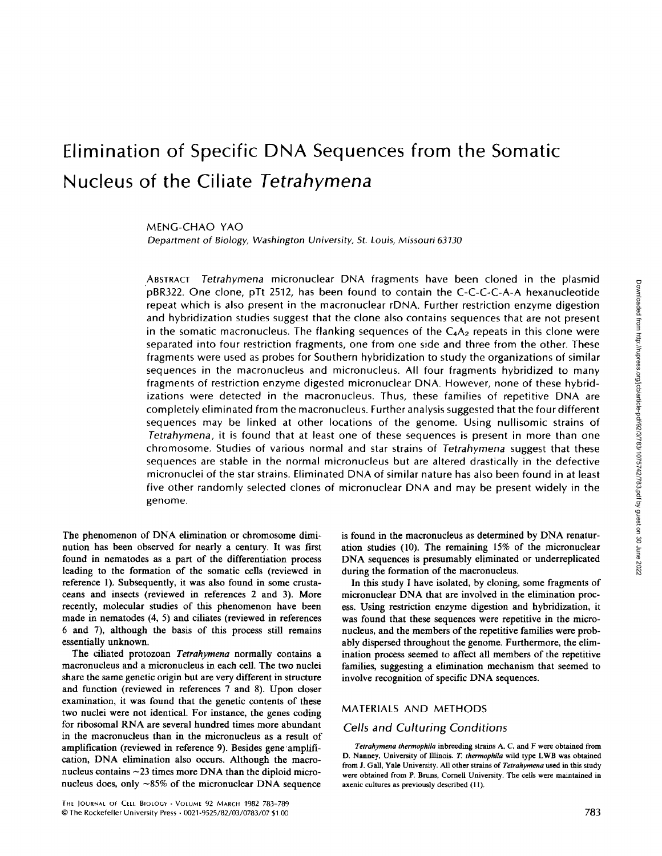# Elimination of Specific DNA Sequences from the Somatic Nucleus of the Ciliate Tetrahymena

MENG-CHAO YAO

Department of Biology, Washington University, St. Louis, Missouri 63130

ABSTRACT Tetrahymena micronuclear DNA fragments have been cloned in the plasmid pBR322. One clone, pTt 2512, has been found to contain the C-C-C-C-A-A hexanucleotide repeat which is also present in the macronuclear rDNA. Further restriction enzyme digestion and hybridization studies suggest that the clone also contains sequences that are not present in the somatic macronucleus. The flanking sequences of the  $C_4A_2$  repeats in this clone were separated into four restriction fragments, one from one side and three from the other. These fragments were used as probes for Southern hybridization to study the organizations of similar sequences in the macronucleus and micronucleus . All four fragments hybridized to many fragments of restriction enzyme digested micronuclear DNA. However, none of these hybridizations were detected in the macronucleus . Thus, these families of repetitive DNA are completely eliminated from the macronucleus . Further analysis suggested that the four different sequences may be linked at other locations of the genome. Using nullisomic strains of Tetrahymena, it is found that at least one of these sequences is present in more than one chromosome. Studies of various normal and star strains of Tetrahymena suggest that these sequences are stable in the normal micronucleus but are altered drastically in the defective micronuclei of the star strains. Eliminated DNA of similar nature has also been found in at least five other randomly selected clones of micronuclear DNA and may be present widely in the genome.

The phenomenon of DNA elimination or chromosome diminution has been observed for nearly a century. It was first found in nematodes as a part of the differentiation process leading to the formation of the somatic cells (reviewed in reference 1). Subsequently, it was also found in some crustaceans and insects (reviewed in references 2 and 3) . More recently, molecular studies of this phenomenon have been made in nematodes (4, 5) and ciliates (reviewed in references 6 and 7), although the basis of this process still remains essentially unknown.

The ciliated protozoan Tetrahymena normally contains a macronucleus and a micronucleus in each cell. The two nuclei share the same genetic origin but are very different in structure and function (reviewed in references 7 and 8). Upon closer examination, it was found that the genetic contents of these two nuclei were not identical. For instance, the genes coding for ribosomal RNA are several hundred times more abundant in the macronucleus than in the micronucleus as a result of amplification (reviewed in reference 9). Besides gene amplification, DNA elimination also occurs . Although the macronucleus contains  $\sim$ 23 times more DNA than the diploid micronucleus does, only  $\sim 85\%$  of the micronuclear DNA sequence

is found in the macronucleus as determined by DNA renaturation studies (10). The remaining 15% of the micronuclear DNA sequences is presumably eliminated or underreplicated during the formation of the macronucleus.

In this study <sup>I</sup> have isolated, by cloning, some fragments of micronuclear DNA that are involved in the elimination process. Using restriction enzyme digestion and hybridization, it was found that these sequences were repetitive in the micronucleus, and the members of the repetitive families were probably dispersed throughout the genome. Furthermore, the elimination process seemed to affect all members of the repetitive families, suggesting a elimination mechanism that seemed to involve recognition of specific DNA sequences.

## MATERIALS AND METHODS

#### Cells and Culturing Conditions

Tetrahymena thermophila inbreeding strains A, C, and F were obtained from D. Nanney, University of Illinois. T. thermophila wild type LWB was obtained from J. Gall, Yale University. All other strains of Tetrahymena used in this study were obtained from P. Bruns, Cornell University . The cells were maintained in axenic cultures as previously described (11).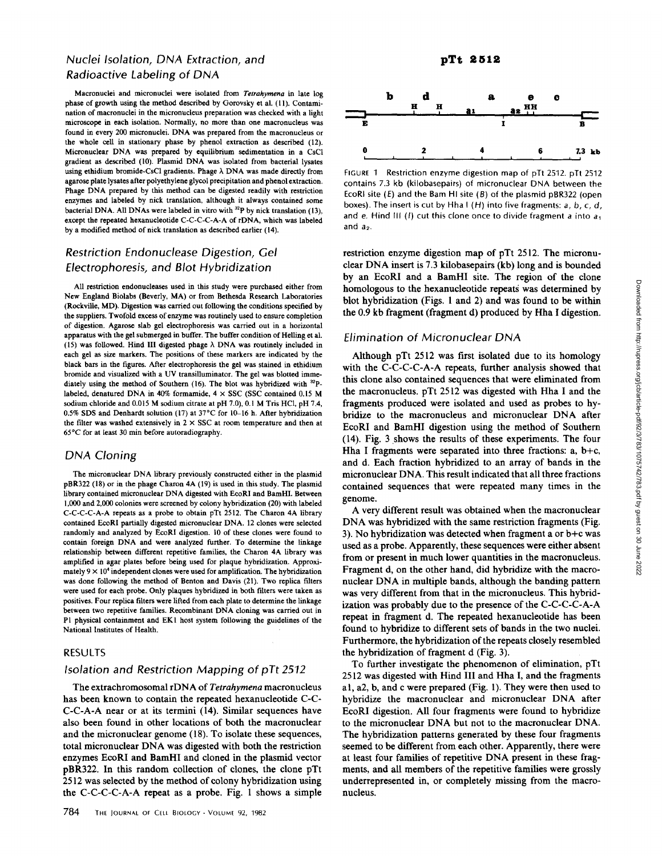# Nuclei Isolation, DNA Extraction, and Radioactive Labeling of DNA

Macronuclei and micronuclei were isolated from Tetrahymena in late log phase of growth using the method described by Gorovsky et al. (11) . Contamination of macronuclei in the micronucleus preparation was checked with a light microscope in each isolation. Normally, no more than one macronucleus was found in every <sup>200</sup> micronuclei. DNA was prepared from the macronucleus or the whole cell in stationary phase by phenol extraction as described (12). Micronuclear DNA was prepared by equilibrium sedimentation in <sup>a</sup> CsCl gradient as described (10). Plasmid DNA was isolated from bacterial lysates using ethidium bromide-CsCl gradients. Phage  $\lambda$  DNA was made directly from agarose plate lysates after polyethylene glycol precipitation and phenol extraction. Phage DNA prepared by this method can be digested readily with restriction enzymes and labeled by nick translation, although it always contained some bacterial DNA. All DNAs were labeled in vitro with <sup>32</sup>P by nick translation (13), except the repeated hexanucleotide C-C-C-C-A-A of rDNA, which was labeled by a modified method of nick translation as described earlier (14) .

## Restriction Endonuclease Digestion, Gel Electrophoresis, and Blot Hybridization

All restriction endonucleases used in this study were purchased either from New England Biolabs (Beverly, MA) or from Bethesda Research Laboratories (Rockville, MD). Digestion was carried out following the conditions specified by the suppliers. Twofold excess of enzyme was routinely used to ensure completion of digestion. Agarose slab gel electrophoresis was carried out in a horizontal apparatus with the gel submerged in buffer. The buffer condition of Helling et al. (15) was followed. Hind III digested phage  $\lambda$  DNA was routinely included in each gel as size markers. The positions of these markers are indicated by the black bars in the figures. After electrophoresis the gel was stained in ethidium bromide and visualized with a UV transilluminator. The gel was blotted immediately using the method of Southern (16). The blot was hybridized with <sup>32</sup>Plabeled, denatured DNA in 40% formamide,  $4 \times SSC$  (SSC contained 0.15 M sodium chloride and 0.015 M sodium citrate at pH 7.0), 0.1 M Tris HCl, pH 7.4, 0.5% SDS and Denhardt solution (l7) at 37°C for 10-16 h. After hybridization the filter was washed extensively in  $2 \times SSC$  at room temperature and then at 65°C for at least 30 min before autoradiography.

#### DNA Cloning

The micronuclear DNA library previously constructed either in the plasmid pBR322 (18) or in the phage Charon 4A (19) is used in this study. The plasmid library contained micronuclear DNAdigested with EcoRl and BamHI. Between 1,000 and 2,000 colonies were screened by colony hybridization (20) with labeled C-C-C-C-A-A repeats as a probe to obtain pTt 2512. The Charon 4A library contained EcoRl partially digested micronuclear DNA. 12 clones were selected randomly and analyzed by EcoRl digestion. 10 of these clones were found to contain foreign DNA and were analyzed further. To determine the linkage relationship between different repetitive families, the Charon 4A library was amplified in agar plates before being used for plaque hybridization . Approximately  $9 \times 10^4$  independent clones were used for amplification. The hybridization was done following the method of Benton and Davis (21). Two replica filters were used for each probe. Only plaques hybridized in both filters were taken as positives. Four replica filters were lifted from each plate to determine the linkage between two repetitive families. Recombinant DNA cloning was carried out in PI physical containment and EKl host system following the guidelines of the National Institutes of Health.

## RESULTS

## Isolation and Restriction Mapping of pTt 2512

The extrachromosomal rDNA of Tetrahymena macronucleus has been known to contain the repeated hexanucleotide C-C-C-C-A-A near or at its termini (14) . Similar sequences have also been found in other locations of both the macronuclear and the micronuclear genome (18) . To isolate these sequences, total micronuclear DNA was digested with both the restriction enzymes EcoRI and BamHI and cloned in the plasmid vector pBR322. In this random collection of clones, the clone pTt 2512 was selected by the method of colony hybridization using the C-C-C-C-A-A repeat as a probe. Fig. <sup>1</sup> shows a simple



FIGURE <sup>1</sup> Restriction enzyme digestion map of pTt 2512 pTt 2512 contains 7.3 kb (kilobasepairs) of micronuclear DNA between the EcoRI site  $(E)$  and the Bam HI site  $(B)$  of the plasmid pBR322 (open boxes). The insert is cut by Hha I (H) into five fragments:  $a, b, c, d$ , and e. Hind III (I) cut this clone once to divide fragment a into  $a_1$ and  $a_2$ .

restriction enzyme digestion map of pTt 2512. The micronuclear DNA insert is <sup>7</sup> .3 kilobasepairs (kb) long and is bounded by an EcoRI and a BamHI site. The region of the clone homologous to the hexanucleotide repeats was determined by blot hybridization (Figs. <sup>1</sup> and 2) and was found to be within the  $0.9$  kb fragment (fragment d) produced by Hha I digestion.

#### Elimination of Micronuclear DNA

Although pTt 2512 was first isolated due to its homology with the C-C-C-C-A-A repeats, further analysis showed that this clone also contained sequences that were eliminated from the macronucleus. pTt 2512 was digested with Hha <sup>I</sup> and the fragments produced were isolated and used as probes to hybridize to the macronucleus and micronuclear DNA after EcoRI and BamHI digestion using the method of Southern  $(14)$ . Fig. 3 shows the results of these experiments. The four Hha I fragments were separated into three fractions:  $a, b+c$ , and d. Each fraction hybridized to an array of bands in the micronuclear DNA. This result indicated that all three fractions contained sequences that were repeated many times in the genome.

A very different result was obtained when the macronuclear DNA was hybridized with the same restriction fragments (Fig. 3) . No hybridization was detected when fragment a or b+c was used as a probe. Apparently, these sequences were either absent from or present in much lower quantities in the macronucleus. Fragment d, on the other hand, did hybridize with the macronuclear DNA in multiple bands, although the banding pattern was very different from that in the micronucleus. This hybridization was probably due to the presence of the C-C-C-C-A-A repeat in fragment d. The repeated hexanucleotide has been found to hybridize to different sets of bands in the two nuclei. Furthermore, the hybridization of the repeats closely resembled the hybridization of fragment d (Fig. 3) .

To further investigate the phenomenon of elimination, pTt 2512 was digested with Hind III and Hha I, and the fragments al, a2, b, and c were prepared (Fig. 1) . They were then used to hybridize the macronuclear and micronuclear DNA after EcoRI digestion. All four fragments were found to hybridize to the micronuclear DNA but not to the macronuclear DNA. The hybridization patterns generated by these four fragments seemed to be different from each other. Apparently, there were at least four families of repetitive DNA present in these fragments, and all members of the repetitive families were grossly underrepresented in, or completely missing from the macronucleus.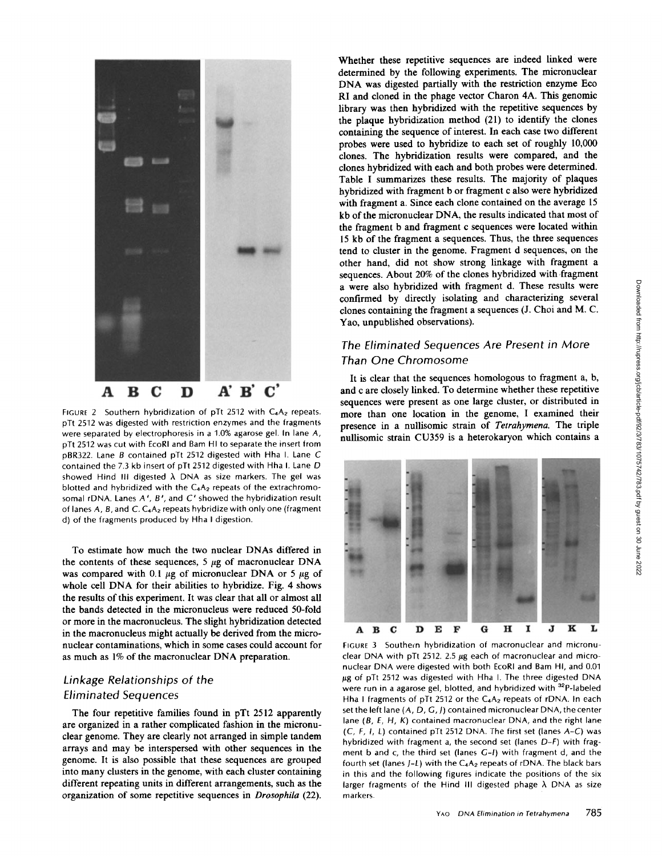

FIGURE 2 Southern hybridization of pTt 2512 with  $C_4A_2$  repeats. pTt 2512 was digested with restriction enzymes and the fragments were separated by electrophoresis in a 1.0% agarose gel. In lane A, pTt 2512 was cut with EcoRl and Barn HI to separate the insert from  $pBR322$ . Lane B contained pTt 2512 digested with Hha I. Lane C contained the 7.3 kb insert of pTt 2512 digested with Hha I. Lane D showed Hind III digested  $\lambda$  DNA as size markers. The gel was blotted and hybridized with the C<sub>4</sub>A<sub>2</sub> repeats of the extrachromosomal rDNA. Lanes  $A'$ ,  $B'$ , and  $C'$  showed the hybridization result of lanes A, B, and  $C$ .  $C_4A_2$  repeats hybridize with only one (fragment d) of the fragments produced by Hha I digestion.

To estimate how much the two nuclear DNAs differed in the contents of these sequences,  $5 \mu$ g of macronuclear DNA was compared with 0.1  $\mu$ g of micronuclear DNA or 5  $\mu$ g of whole cell DNA for their abilities to hybridize. Fig. 4 shows the results of this experiment. It was clear that all or almost all the bands detected in the micronucleus were reduced 50-fold or more in the macronucleus . The slight hybridization detected in the macronucleus might actually be derived from the micronuclear contaminations, which in some cases could account for as much as 1% of the macronuclear DNA preparation.

## Linkage Relationships of the Eliminated Sequences

The four repetitive families found in pTt 2512 apparently are organized in a rather complicated fashion in the micronuclear genome. They are clearly not arranged in simple tandem arrays and may be interspersed with other sequences in the genome. It is also possible that these sequences are grouped into many clusters in the genome, with each cluster containing different repeating units in different arrangements, such as the organization of some repetitive sequences in *Drosophila* (22). Whether these repetitive sequences are indeed linked were determined by the following experiments. The micronuclear DNA was digested partially with the restriction enzyme Eco RI and cloned in the phage vector Charon 4A. This genomic library was then hybridized with the repetitive sequences by the plaque hybridization method (21) to identify the clones containing the sequence of interest. In each case two different probes were used to hybridize to each set of roughly 10,000 clones . The hybridization results were compared, and the clones hybridized with each and both probes were determined. Table <sup>I</sup> summarizes these results. The majority of plaques hybridized with fragment b or fragment c also were hybridized with fragment a. Since each clone contained on the average 15 kb of the micronuclear DNA, the results indicated that most of the fragment b and fragment c sequences were located within <sup>15</sup> kb of the fragment a sequences. Thus, the three sequences tend to cluster in the genome. Fragment d sequences, on the other hand, did not show strong linkage with fragment a sequences. About 20% of the clones hybridized with fragment a were also hybridized with fragment d. These results were confirmed by directly isolating and characterizing several clones containing the fragment a sequences (J. Choi and M. C. Yao, unpublished observations).

# The Eliminated Sequences Are Present in More Than One Chromosome

It is clear that the sequences homologous to fragment a, b, and c are closely linked. To determine whether these repetitive sequences were present as one large cluster, or distributed in more than one location in the genome, <sup>I</sup> examined their presence in a nullisomic strain of Tetrahymena. The triple nullisomic strain CU359 is a heterokaryon which contains a



FIGURE <sup>3</sup> Southern hybridization of macronuclear and micronuclear DNA with pTt 2512. 2.5  $\mu$ g each of macronuclear and micronuclear DNA were digested with both EcoRl and Barn HI, and 0.01  $\mu$ g of pTt 2512 was digested with Hha I. The three digested DNA were run in a agarose gel, blotted, and hybridized with  $32P$ -labeled Hha I fragments of pTt 2512 or the  $C_4A_2$  repeats of rDNA. In each set the left lane (A, D, G, J) contained micronuclear DNA, the center lane (B, E, H, K) contained macronuclear DNA, and the right lane  $(C, F, I, L)$  contained pTt 2512 DNA. The first set (lanes  $A-C$ ) was hybridized with fragment a, the second set (lanes D-F) with fragment b and c, the third set (lanes G-1) with fragment d, and the fourth set (lanes  $J-L$ ) with the  $C_4A_2$  repeats of rDNA. The black bars in this and the following figures indicate the positions of the six larger fragments of the Hind III digested phage  $\lambda$  DNA as size markers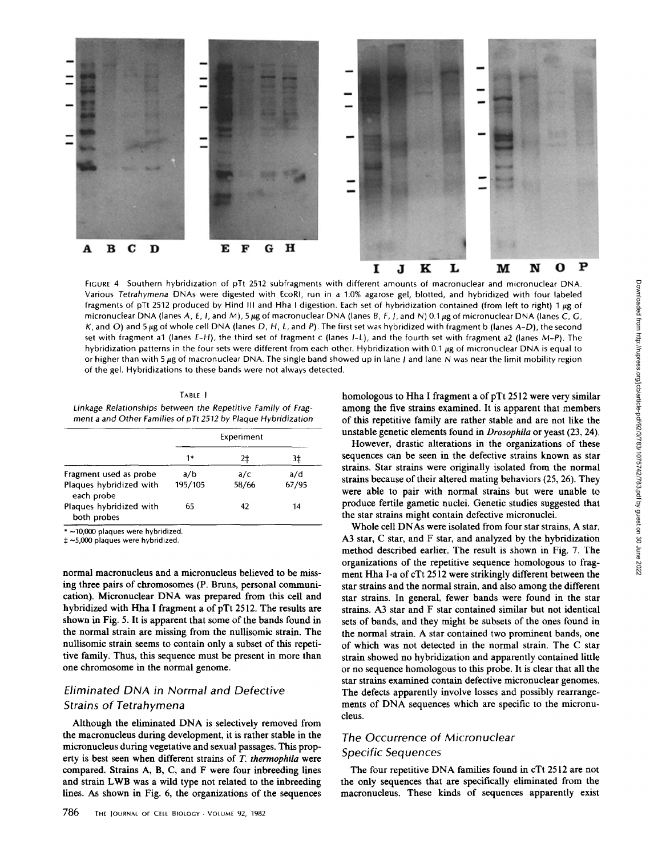

FIGURE 4 Southern hybridization of pTt <sup>2512</sup> subfragments with different amounts of macronuclear and micronuclear DNA. Various Tetrahymena DNAs were digested with EcoRl, run in a <sup>1</sup> .0% agarose gel, blotted, and hybridized with four labeled fragments of pTt 2512 produced by Hind III and Hha I digestion. Each set of hybridization contained (from left to right) 1  $\mu$ g of micronuclear DNA (lanes A, E, I, and M), 5  $\mu$ g of macronuclear DNA (lanes B, F, J, and N) 0.1  $\mu$ g of micronuclear DNA (lanes C, G, K, and O) and 5  $\mu$ g of whole cell DNA (lanes D, H, L, and P). The first set was hybridized with fragment b (lanes A-D), the second set with fragment a1 (lanes E-H), the third set of fragment c (lanes I-L), and the fourth set with fragment a2 (lanes M-P). The hybridization patterns in the four sets were different from each other. Hybridization with  $0.1 \mu$ g of micronuclear DNA is equal to or higher than with 5  $\mu$ g of macronuclear DNA. The single band showed up in lane J and lane N was near the limit mobility region of the gel. Hybridizations to these bands were not always detected.

#### TABLE <sup>I</sup>

Linkage Relationships between the Repetitive Family of Fragment <sup>a</sup> and Other Families of pTt 2512 by Plaque Hybridization

|                                        | Experiment |       |       |
|----------------------------------------|------------|-------|-------|
|                                        | 1*         | 2‡    | 3‡    |
| Fragment used as probe                 | a/b        | a/c   | a/d   |
| Plaques hybridized with<br>each probe  | 195/105    | 58/66 | 67/95 |
| Plaques hybridized with<br>both probes | 65         | 42    | 14    |
|                                        |            |       |       |

 $*$  ~10,000 plaques were hybridized.

 $\pm$  ~5,000 plaques were hybridized.

normal macronucleus and a micronucleus believed to be missing three pairs of chromosomes (P. Bruns, personal communication). Micronuclear DNA was prepared from this cell and hybridized with Hha <sup>I</sup> fragment a of pTt 2512. The results are shown in Fig. 5. It is apparent that some of the bands found in the normal strain are missing from the nullisomic strain. The nullisomic strain seems to contain only a subset of this repetitive family. Thus, this sequence must be present in more than one chromosome in the normal genome .

## Eliminated DNA in Normal and Defective Strains of Tetrahymena

Although the eliminated DNA is selectively removed from the macronucleus during development, it is rather stable in the micronucleus during vegetative and sexual passages . This property is best seen when different strains of T. thermophila were compared. Strains A, B, C, and F were four inbreeding lines and strain LWB was a wild type not related to the inbreeding lines. As shown in Fig. 6, the organizations of the sequences homologous to Hha I fragment a of pTt 2512 were very similar among the five strains examined. It is apparent that members of this repetitive family are rather stable and are not like the unstable genetic elements found in Drosophila or yeast (23, 24).

However, drastic alterations in the organizations of these sequences can be seen in the defective strains known as star strains . Star strains were originally isolated from the normal strains because of their altered mating behaviors (25, 26) . They were able to pair with normal strains but were unable to produce fertile gametic nuclei. Genetic studies suggested that the star strains might contain defective micronuclei.

Whole cell DNAs were isolated from four star strains, A star, A3 star, C star, and F star, and analyzed by the hybridization method described earlier. The result is shown in Fig. 7. The organizations of the repetitive sequence homologous to fragment Hha I-a of cTt 2512 were strikingly different between the star strains and the normal strain, and also among the different star strains. In general, fewer bands were found in the star strains . A3 star and F star contained similar but not identical sets of bands, and they might be subsets of the ones found in the normal strain. A star contained two prominent bands, one of which was not detected in the normal strain . The C star strain showed no hybridization and apparently contained little or no sequence homologous to this probe. It is clear that all the star strains examined contain defective micronuclear genomes. The defects apparently involve losses and possibly rearrangements of DNA sequences which are specific to the micronucleus.

# The Occurrence of Micronuclear Specific Sequences

The four repetitive DNA families found in cTt <sup>2512</sup> are not the only sequences that are specifically eliminated from the macronucleus. These kinds of sequences apparently exist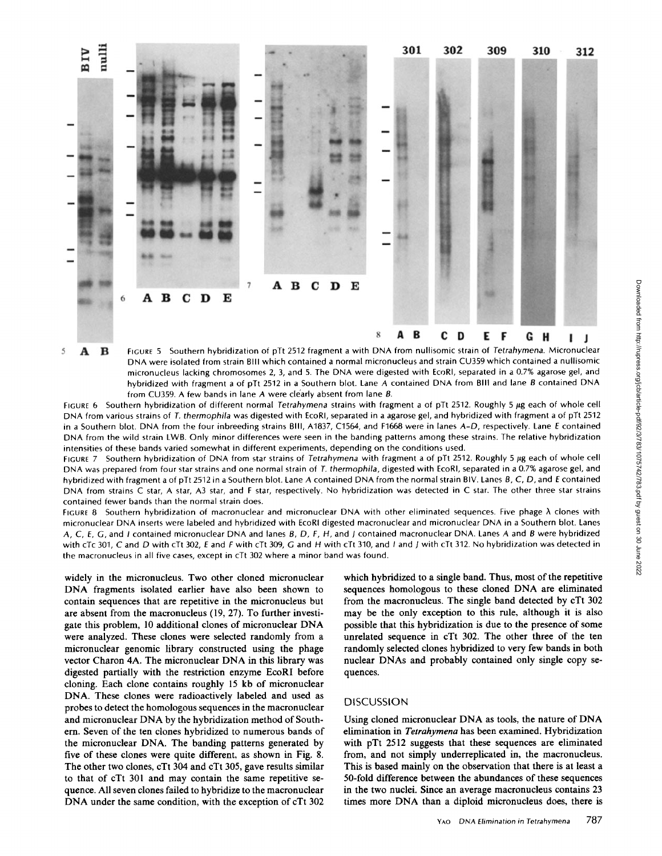



FIGURE 6 Southern hybridization of different normal Tetrahymena strains with fragment a of pTt 2512. Roughly 5 µg each of whole cell DNA from various strains of T. thermophila was digested with EcoRl, separated in a agarose gel, and hybridized with fragment a of pTt <sup>2512</sup> in a Southern blot. DNA from the four inbreeding strains BIII, A1837, C1564, and F1668 were in lanes A-D, respectively. Lane E contained DNA from the wild strain LWB Only minor differences were seen in the banding patterns among these strains The relative hybridization intensities of these bands varied somewhat in different experiments, depending on the conditions used .

FIGURE 7 Southern hybridization of DNA from star strains of Tetrahymena with fragment a of pTt 2512. Roughly 5 µg each of whole cell DNA was prepared from four star strains and one normal strain of T. thermophila, digested with EcoRl, separated in a 0.7% agarose gel, and hybridized with fragment a of pTt 2512 in a Southern blot. Lane A contained DNA from the normal strain BIV. Lanes B, C, D, and E contained DNA from strains C star, <sup>A</sup> star, A3 star, and <sup>F</sup> star, respectively . No hybridization was detected in C star. The other three star strains contained fewer bands than the normal strain does.

FIGURE 8 Southern hybridization of macronuclear and micronuclear DNA with other eliminated sequences. Five phage  $\lambda$  clones with micronuclear DNA inserts were labeled and hybridized with EcoRI digested macronuclear and micronuclear DNA in a Southern blot. Lanes A, C, E, G, and <sup>I</sup> contained micronuclear DNA and lanes B, D, F, H, and / contained macronuclear DNA Lanes A and <sup>B</sup> were hybridized with cTc 301, C and D with cTt 302, <sup>E</sup> and <sup>F</sup> with cTt 309, G and H with cTt 310, and <sup>1</sup> and <sup>J</sup> with cTt 312. No hybridization was detected in the macronucleus in all five cases, except in cTt 302 where <sup>a</sup> minor band was found.

widely in the micronucleus. Two other cloned micronuclear DNA fragments isolated earlier have also been shown to contain sequences that are repetitive in the micronucleus but are absent from the macronucleus (19, 27). To further investigate this problem, <sup>10</sup> additional clones of micronuclear DNA were analyzed. These clones were selected randomly from a micronuclear genomic library constructed using the phage vector Charon 4A. The micronuclear DNA in this library was digested partially with the restriction enzyme EcoRl before cloning. Each clone contains roughly 15 kb of micronuclear DNA. These clones were radioactively labeled and used as probes to detect the homologous sequences in the macronuclear and micronuclear DNA by the hybridization method of Southern. Seven of the ten clones hybridized to numerous bands of the micronuclear DNA. The banding patterns generated by five of these clones were quite different, as shown in Fig. 8. The other two clones, cTt 304 and cTt 305, gave results similar to that of cTt 301 and may contain the same repetitive sequence. All seven clones failed to hybridize to the macronuclear DNA under the same condition, with the exception of cTt <sup>302</sup>

which hybridized to a single band. Thus, most of the repetitive sequences homologous to these cloned DNA are eliminated from the macronucleus. The single band detected by cTt 302 may be the only exception to this rule, although it is also possible that this hybridization is due to the presence of some unrelated sequence in cTt 302 . The other three of the ten randomly selected clones hybridized to very few bands in both nuclear DNAs and probably contained only single copy sequences.

#### **DISCUSSION**

Using cloned micronuclear DNA as tools, the nature of DNA elimination in Tetrahymena has been examined. Hybridization with pTt 2512 suggests that these sequences are eliminated from, and not simply underreplicated in, the macronucleus. This is based mainly on the observation that there is at least a 50-fold difference between the abundances of these sequences in the two nuclei. Since an average macronucleus contains 23 times more DNA than <sup>a</sup> diploid micronucleus does, there is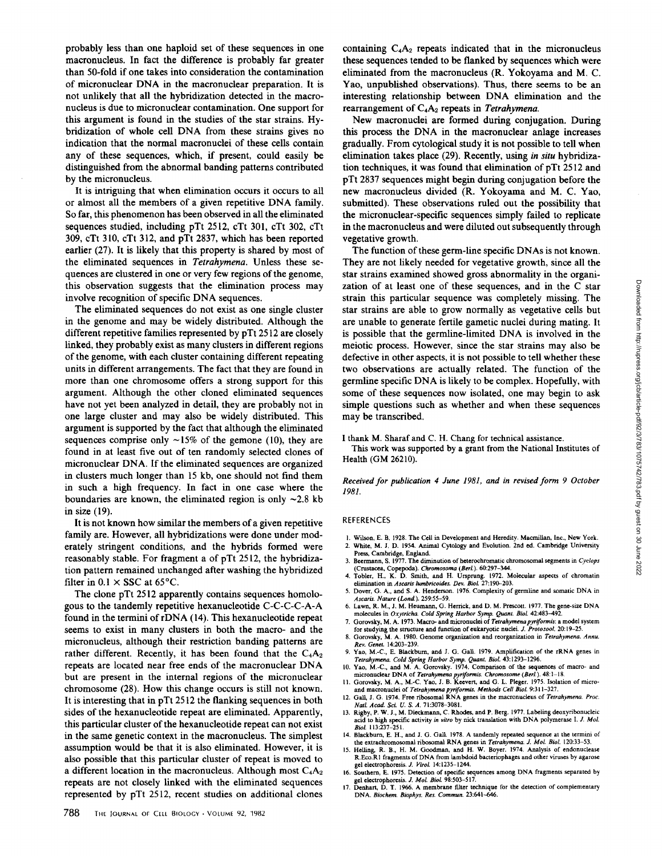probably less than one haploid set of these sequences in one macronucleus. In fact the difference is probably far greater than 50-fold if one takes into consideration the contamination of micronuclear DNA in the macronuclear preparation . It is not unlikely that all the hybridization detected in the macronucleus is due to micronuclear contamination . One support for this argument is found in the studies of the star strains . Hybridization of whole cell DNA from these strains gives no indication that the normal macronuclei of these cells contain any of these sequences, which, if present, could easily be distinguished from the abnormal banding patterns contributed by the micronucleus.

It is intriguing that when elimination occurs it occurs to all or almost all the members of a given repetitive DNA family. So far, this phenomenon has been observed in all the eliminated sequences studied, including pTt 2512, cTt 301, cTt 302, cTt 309, cTt 310, cTt 312, and pTt 2837, which has been reported earlier (27). It is likely that this property is shared by most of the eliminated sequences in Tetrahymena. Unless these sequences are clustered in one or very few regions of the genome, this observation suggests that the elimination process may involve recognition of specific DNA sequences.

The eliminated sequences do not exist as one single cluster in the genome and may be widely distributed. Although the different repetitive families represented by pTt 2512 are closely linked, they probably exist as many clusters in different regions of the genome, with each cluster containing different repeating units in different arrangements. The fact that they are found in more than one chromosome offers a strong support for this argument. Although the other cloned eliminated sequences have not yet been analyzed in detail, they are probably not in one large cluster and may also be widely distributed. This argument is supported by the fact that although the eliminated sequences comprise only  $\sim$  15% of the gemone (10), they are found in at least five out of ten randomly selected clones of micronuclear DNA. If the eliminated sequences are organized in clusters much longer than <sup>15</sup> kb, one should not find them in such a high frequency. In fact in one case where the boundaries are known, the eliminated region is only  $\sim$ 2.8 kb in size  $(19)$ .

It is not known how similar the members of a given repetitive family are. However, all hybridizations were done under moderately stringent conditions, and the hybrids formed were reasonably stable. For fragment a of pTt 2512, the hybridization pattern remained unchanged after washing the hybridized filter in  $0.1 \times$  SSC at 65°C.

The clone pTt 2512 apparently contains sequences homologous to the tandemly repetitive hexanucleotide C-C-C-C-A-A found in the termini of rDNA (14). This hexanucleotide repeat seems to exist in many clusters in both the macro- and the micronucleus, although their restriction banding patterns are rather different. Recently, it has been found that the  $C_4A_2$ repeats are located near free ends of the macronuclear DNA but are present in the internal regions of the micronuclear chromosome (28). How this change occurs is still not known. It is interesting that in pTt 2512 the flanking sequences in both sides of the hexanucleotide repeat are eliminated. Apparently, this particular cluster of the hexanucleotide repeat can not exist in the same genetic context in the macronucleus. The simplest assumption would be that it is also eliminated. However, it is also possible that this particular cluster of repeat is moved to a different location in the macronucleus. Although most  $C_4A_2$ repeats are not closely linked with the eliminated sequences represented by pTt 2512, recent studies on additional clones

containing  $C_4A_2$  repeats indicated that in the micronucleus these sequences tended to be flanked by sequences which were eliminated from the macronucleus (R. Yokoyama and M. C. Yao, unpublished observations). Thus, there seems to be an interesting relationship between DNA elimination and the rearrangement of  $C_4A_2$  repeats in Tetrahymena.

New macronuclei are formed during conjugation. During this process the DNA in the macronuclear anlage increases gradually . From cytological study it is not possible to tell when elimination takes place (29). Recently, using in situ hybridization techniques, it was found that elimination of pTt 2512 and pTt 2837 sequences might begin during conjugation before the new macronucleus divided (R. Yokoyama and M. C. Yao, submitted). These observations ruled out the possibility that the micronuclear-specific sequences simply failed to replicate in the macronucleus and were diluted out subsequently through vegetative growth.

The function of these germ-line specific DNAs is not known.<br>They are not likely needed for vegetative growth, since all the star strains examined showed gross abnormality in the organization of at least one of these sequences, and in the C star strain this particular sequence was completely missing. The star strains are able to grow normally as vegetative cells but are unable to generate fertile gametic nuclei during mating . It is possible that the germline-limited DNA is involved in the meiotic process. However, since the star strains may also be defective in other aspects, it is not possible to tell whether these two observations are actually related. The function of the germline specific DNA is likely to be complex . Hopefully, with some of these sequences now isolated, one may begin to ask simple questions such as whether and when these sequences may be transcribed.

<sup>1</sup> thank M. Sharaf and C. H. Chang for technical assistance

This work was supported by a grant from the National Institutes of Health (GM 26210).

Received for publication 4 June 1981, and in revised form <sup>9</sup> October 1981 .

#### REFERENCES

- 1. Wilson, E. B. 1928. The Cell in Development and Heredity. Macmillan, Inc., New York. 2. White, M. J. D. 1954. Animal Cytology and Evolution. 2nd ed. Cambridge University
- 
- Press, Cambridge, England.<br>3. Beermann, S. 1977. The diminution of heterochromatic chromosomal segments in Cyclops
- (Crustacea, Copepoda). Chromosoma (Berl.). 60:297-344.<br>4. Tobler, H., K. D. Smith, and H. Ursprung. 1972. Molecular aspects of chromatine elimination in Ascaris lumbricoides. Dev. Biol. 27:190-203.<br>5. Dover, G. A., and S.
- Ascaris. Nature (Land.) . 259:55-59.
- 6. Lawn, R M., <sup>J</sup> . M. Heumann, G. Herrick, and D M Prescott . <sup>1977</sup> . The gene-size DNA molecules in Oxytricha. Cold Spring Harbor Symp Quant. Biol 42:483-492.
- 7. Gorovsky, M. A. 1973. Macro- and micronuclei of Tetrahymena pyriformis: a model system
- for studying the structure and function of eukaryotic nuclei. J. Protozool. 20:19–25.<br>8. Gorovsky, M. A. 1980. Genome organization and reorganization in Tetrahymena. Annu. Rev. Genet. 14:203-239
- 9. Yao, M.C ., E. Blackburn, and <sup>J</sup> G. Gall. <sup>1979</sup> . Amplification of the rRNA genes in
- Tetrahymena. Cold Spring Harbor Symp. Quant. Biol. 43:1293-1296.<br>10. Yao, M.-C., and M. A. Gorovsky. 1974. Comparison of the sequences of macro- and<br>misrogarshers DNA of Terrahymore and farmic Chronocomme (Parl) 48:1-18 micronuclear DNA of *Tetrahymena pyriformis. Chromosome (Berl.*). 48:1-18.<br>11. Gorovsky, M. A., M.-C. Yao, J. B. Keevert, and G. L. Pleger. 1975. Isolation of micro-
- 
- and macronuclei of *Tetrahymena pyriformis. Methods Cell Biol.* 9:311-327.<br>
12. Gall, J. G. 1974. Free ribosomal RNA genes in the macronucleus of *Tetrahymena. Proc.*<br> *Nall. Acad. Sci. U. S. A.* 71:3078-3081.
- <sup>13</sup> . Rigby, P. W J., M Dieckmann, <sup>C</sup> Rhodes, and P . Berg <sup>1977</sup> Labeling deoxyribonucleic acid to high specific activity in vitro by nick translation with DNA polymerase I. J. Mol.<br>Biol. 113:237-251.
- 14, Blackburn, <sup>E</sup> H., and J G . Gall. <sup>1978</sup> . A tandendy repeated sequence at the termini of the extrachromosomal ribosomal RNA genes in Tetrahymena. J. Mol. Biol. 120:33-53.<br>15. Helling, R. B., H. M. Goodman, and H. W. Boyer. 1974. Analysis of endonuclease
- R.Eco.R1 fragments of DNA from lambdoid bacteriophages and other viruses by agarose gel electrophoresis. J. Virol. 14:1235-1244.
- gel electrophoresis. J. Virol. 14:1235-1244.<br>16. Southern, E. 1975. Detection of specific sequences among DNA fragments separated by<br>gel electrophoresis. J. Mol. Biol. 98:503-517.
- 17. Denhart, D. T. 1966. A membrane filter technique for the detection of complementary DNA Biochem. Biophys. Res. Commun. 23:ó4I-646